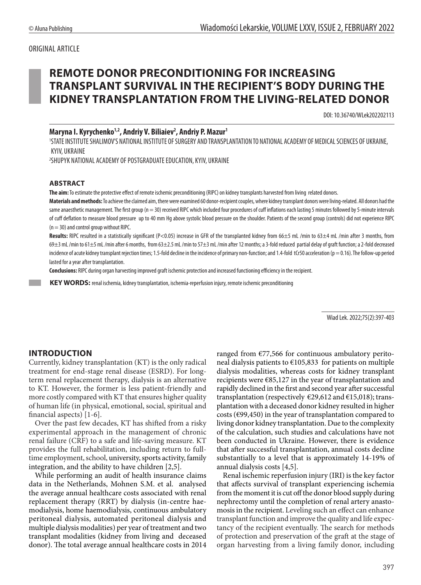## ORIGINAL ARTICLE

# **REMOTE DONOR PRECONDITIONING FOR INCREASING TRANSPLANT SURVIVAL IN THE RECIPIENT'S BODY DURING THE KIDNEY TRANSPLANTATION FROM THE LIVING-RELATED DONOR**

DOI: 10.36740/WLek202202113

### **Maryna I. Kyrychenko1,2, Andriy V. Biliaiev2 , Andriy P. Mazur1**

1 STATE INSTITUTE SHALIMOV'S NATIONAL INSTITUTE OF SURGERY AND TRANSPLANTATION TO NATIONAL ACADEMY OF MEDICAL SCIENCES OF UKRAINE, KYIV, UKRAINE

2 SHUPYK NATIONAL ACADEMY OF POSTGRADUATE EDUCATION, KYIV, UKRAINE

#### **ABSTRACT**

**The aim:** To estimate the protective effect of remote ischemic preconditioning (RIPC) on kidney transplants harvested from living related donors.

**Materials and methods:** To achieve the claimed aim, there were examined 60 donor-recipient couples, where kidney transplant donors were living-related. All donors had the same anaesthetic management. The first group (n = 30) received RIPC which included four procedures of cuff inflations each lasting 5 minutes followed by 5-minute intervals of cuff deflation to measure blood pressure up to 40 mm Hg above systolic blood pressure on the shoulder. Patients of the second group (controls) did not experience RIPC  $(n = 30)$  and control group without RIPC.

Results: RIPC resulted in a statistically significant (P<0.05) increase in GFR of the transplanted kidney from 66±5 mL /min to 63±4 mL /min after 3 months, from 69±3 mL /min to 61±5 mL /min after 6 months, from 63±2.5 mL /min to 57±3 mL /min after 12 months; a 3-fold reduced partial delay of graft function; a 2-fold decreased incidence of acute kidney transplant rejection times; 1.5-fold decline in the incidence of primary non-function; and 1.4-fold tCr50 acceleration (p = 0.16). The follow-up period lasted for a year after transplantation.

**Conclusions:** RIPC during organ harvesting improved graft ischemic protection and increased functioning efficiency in the recipient.

 **KEY WORDS:** renal ischemia, kidney transplantation, ischemia-reperfusion injury, remote ischemic preconditioning

Wiad Lek. 2022;75(2):397-403

## **INTRODUCTION**

Currently, kidney transplantation (KT) is the only radical treatment for end-stage renal disease (ESRD). For longterm renal replacement therapy, dialysis is an alternative to KT. However, the former is less patient-friendly and more costly compared with KT that ensures higher quality of human life (in physical, emotional, social, spiritual and financial aspects) [1-6].

Over the past few decades, KT has shifted from a risky experimental approach in the management of chronic renal failure (CRF) to a safe and life-saving measure. KT provides the full rehabilitation, including return to fulltime employment, school, university, sports activity, family integration, and the ability to have children [2,5].

While performing an audit of health insurance claims data in the Netherlands, Mohnen S.M. et al. analysed the average annual healthcare costs associated with renal replacement therapy (RRT) by dialysis (in-centre haemodialysis, home haemodialysis, continuous ambulatory peritoneal dialysis, automated peritoneal dialysis and multiple dialysis modalities) per year of treatment and two transplant modalities (kidney from living and deceased donor). The total average annual healthcare costs in 2014 ranged from  $\epsilon$ 77,566 for continuous ambulatory peritoneal dialysis patients to €105,833 for patients on multiple dialysis modalities, whereas costs for kidney transplant recipients were  $\epsilon$ 85,127 in the year of transplantation and rapidly declined in the first and second year after successful transplantation (respectively  $\epsilon$ 29,612 and  $\epsilon$ 15,018); transplantation with a deceased donor kidney resulted in higher costs ( $\epsilon$ 99,450) in the year of transplantation compared to living donor kidney transplantation. Due to the complexity of the calculation, such studies and calculations have not been conducted in Ukraine. However, there is evidence that after successful transplantation, annual costs decline substantially to a level that is approximately 14-19% of annual dialysis costs [4,5].

Renal ischemic reperfusion injury (IRI) is the key factor that affects survival of transplant experiencing ischemia from the moment it is cut off the donor blood supply during nephrectomy until the completion of renal artery anastomosis in the recipient. Leveling such an effect can enhance transplant function and improve the quality and life expectancy of the recipient eventually. The search for methods of protection and preservation of the graft at the stage of organ harvesting from a living family donor, including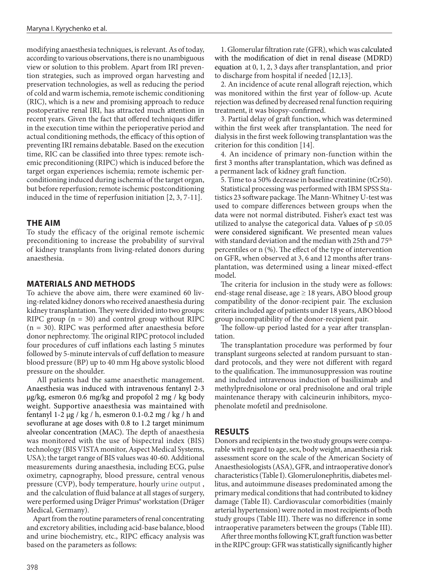modifying anaesthesia techniques, is relevant. As of today, according to various observations, there is no unambiguous view or solution to this problem. Apart from IRI prevention strategies, such as improved organ harvesting and preservation technologies, as well as reducing the period of cold and warm ischemia, remote ischemic conditioning (RIC), which is a new and promising approach to reduce postoperative renal IRI, has attracted much attention in recent years. Given the fact that offered techniques differ in the execution time within the perioperative period and actual conditioning methods, the efficacy of this option of preventing IRI remains debatable. Based on the execution time, RIC can be classified into three types: remote ischemic preconditioning (RIPC) which is induced before the target organ experiences ischemia; remote ischemic perconditioning induced during ischemia of the target organ, but before reperfusion; remote ischemic postconditioning induced in the time of reperfusion initiation [2, 3, 7-11].

#### **THE AIM**

To study the efficacy of the original remote ischemic preconditioning to increase the probability of survival of kidney transplants from living-related donors during anaesthesia.

#### **MATERIALS AND METHODS**

To achieve the above aim, there were examined 60 living-related kidney donors who received anaesthesia during kidney transplantation. They were divided into two groups: RIPC group  $(n = 30)$  and control group without RIPC (n = 30). RIPC was performed after anaesthesia before donor nephrectomy. The original RIPC protocol included four procedures of cuff inflations each lasting 5 minutes followed by 5-minute intervals of cuff deflation to measure blood pressure (BP) up to 40 mm Hg above systolic blood pressure on the shoulder.

All patients had the same anaesthetic management. Anaesthesia was induced with intravenous fentanyl 2-3 μg/kg, esmeron 0.6 mg/kg and propofol 2 mg / kg body weight. Supportive anaesthesia was maintained with fentanyl 1-2 μg / kg / h, esmeron 0.1-0.2 mg / kg / h and sevoflurane at age doses with 0.8 to 1.2 target minimum alveolar concentration (MAC). The depth of anaesthesia was monitored with the use of bispectral index (BIS) technology (BIS VISTA monitor, Aspect Medical Systems, USA); the target range of BIS values was 40-60. Additional measurements during anaesthesia, including ECG, pulse oximetry, capnography, blood pressure, central venous pressure (CVP), body temperature, hourly urine output , and the calculation of fluid balance at all stages of surgery, were performed using Dräger Primus® workstation (Dräger Medical, Germany).

Apart from the routine parameters of renal concentrating and excretory abilities, including acid-base balance, blood and urine biochemistry, etc., RIPC efficacy analysis was based on the parameters as follows:

1. Glomerular filtration rate (GFR), which was calculated with the modification of diet in renal disease (MDRD) equation at 0, 1, 2, 3 days after transplantation, and prior to discharge from hospital if needed [12,13].

2. An incidence of acute renal allograft rejection, which was monitored within the first year of follow-up. Acute rejection was defined by decreased renal function requiring treatment, it was biopsy-confirmed.

3. Partial delay of graft function, which was determined within the first week after transplantation. The need for dialysis in the first week following transplantation was the criterion for this condition [14].

4. An incidence of primary non-function within the first 3 months after transplantation, which was defined as a permanent lack of kidney graft function.

5. Time to a 50% decrease in baseline creatinine (tCr50). Statistical processing was performed with IBM SPSS Statistics 23 software package. The Mann-Whitney U-test was used to compare differences between groups when the data were not normal distributed. Fisher's exact test was utilized to analyse the categorical data. Values of  $p \le 0.05$ were considered significant. We presented mean values with standard deviation and the median with 25th and 75<sup>th</sup> percentiles or n (%). The effect of the type of intervention on GFR, when observed at 3, 6 and 12 months after transplantation, was determined using a linear mixed-effect model.

The criteria for inclusion in the study were as follows: end-stage renal disease, age ≥ 18 years, ABO blood group compatibility of the donor-recipient pair. The exclusion criteria included age of patients under 18 years, ABO blood group incompatibility of the donor-recipient pair.

The follow-up period lasted for a year after transplantation.

The transplantation procedure was performed by four transplant surgeons selected at random pursuant to standard protocols, and they were not different with regard to the qualification. The immunosuppression was routine and included intravenous induction of basiliximab and methylprednisolone or oral prednisolone and oral triple maintenance therapy with calcineurin inhibitors, mycophenolate mofetil and prednisolone.

#### **RESULTS**

Donors and recipients in the two study groups were comparable with regard to age, sex, body weight, anaesthesia risk assessment score on the scale of the American Society of Anaesthesiologists (ASA), GFR, and intraoperative donor's characteristics (Table I). Glomerulonephritis, diabetes mellitus, and autoimmune diseases predominated among the primary medical conditions that had contributed to kidney damage (Table II). Cardiovascular comorbidities (mainly arterial hypertension) were noted in most recipients of both study groups (Table III). There was no difference in some intraoperative parameters between the groups (Table III).

After three months following KT, graft function was better in the RIPC group: GFR was statistically significantly higher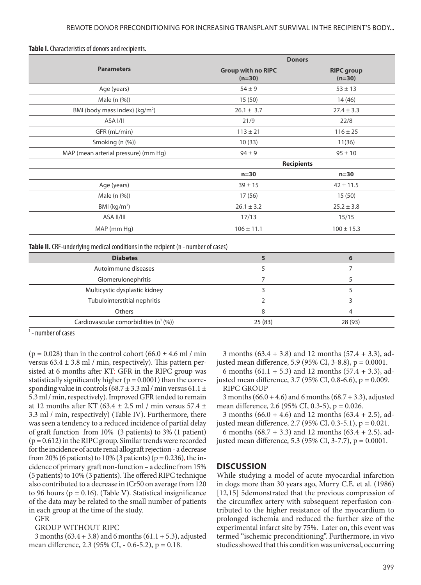|                                                                                    | <b>Donors</b>                         |                               |  |
|------------------------------------------------------------------------------------|---------------------------------------|-------------------------------|--|
| <b>Parameters</b>                                                                  | <b>Group with no RIPC</b><br>$(n=30)$ | <b>RIPC group</b><br>$(n=30)$ |  |
| Age (years)                                                                        | $54 \pm 9$                            | $53 \pm 13$                   |  |
| Male (n (%))                                                                       | 15(50)                                | 14 (46)                       |  |
| BMI (body mass index) (kg/m <sup>2</sup> )                                         | $26.1 \pm 3.7$                        | $27.4 \pm 3.3$                |  |
| ASA I/II                                                                           | 21/9                                  | 22/8                          |  |
| GFR (mL/min)                                                                       | $113 \pm 21$                          | $116 \pm 25$                  |  |
| Smoking (n (%))                                                                    | 10(33)                                | 11(36)                        |  |
| MAP (mean arterial pressure) (mm Hg)                                               | $94 \pm 9$                            | $95 \pm 10$                   |  |
|                                                                                    | <b>Recipients</b>                     |                               |  |
|                                                                                    | $n=30$                                | $n=30$                        |  |
| Age (years)                                                                        | $39 \pm 15$                           | $42 \pm 11.5$                 |  |
| Male (n (%))                                                                       | 17 (56)                               | 15(50)                        |  |
| BMI ( $kg/m2$ )                                                                    | $26.1 \pm 3.2$                        | $25.2 \pm 3.8$                |  |
| ASA II/III                                                                         | 17/13                                 | 15/15                         |  |
| MAP (mm Hg)                                                                        | $106 \pm 11.1$                        | $100 \pm 15.3$                |  |
| Table II. CRF-underlying medical conditions in the recipient (n - number of cases) |                                       |                               |  |
| <b>Diabetes</b>                                                                    | 5                                     | 6                             |  |

| <b>Diabetes</b>               |  |
|-------------------------------|--|
| Autoimmune diseases           |  |
| Glomerulonephritis            |  |
| Multicystic dysplastic kidney |  |
| Tubulointerstitial nephritis  |  |
|                               |  |

**Table I.** Characteristics of donors and recipients.

 $<sup>1</sup>$  - number of cases</sup>

 $(p = 0.028)$  than in the control cohort  $(66.0 \pm 4.6 \text{ ml})$  min versus  $63.4 \pm 3.8$  ml / min, respectively). This pattern persisted at 6 months after KT: GFR in the RIPC group was statistically significantly higher ( $p = 0.0001$ ) than the corresponding value in controls (68.7  $\pm$  3.3 ml / min versus 61.1  $\pm$ 5.3 ml / min, respectively). Improved GFR tended to remain at 12 months after KT (63.4  $\pm$  2.5 ml / min versus 57.4  $\pm$ 3.3 ml / min, respectively) (Table IV). Furthermore, there was seen a tendency to a reduced incidence of partial delay of graft function from 10% (3 patients) to 3% (1 patient)  $(p = 0.612)$  in the RIPC group. Similar trends were recorded for the incidence of acute renal allograft rejection - a decrease from 20% (6 patients) to 10% (3 patients) ( $p = 0.236$ ), the incidence of primary graft non-function – a decline from 15% (5 patients) to 10% (3 patients). The offered RIPC technique also contributed to a decrease in tCr50 on average from 120 to 96 hours ( $p = 0.16$ ). (Table V). Statistical insignificance of the data may be related to the small number of patients in each group at the time of the study.

GFR

GROUP WITHOUT RIPC

3 months ( $63.4 + 3.8$ ) and 6 months ( $61.1 + 5.3$ ), adjusted mean difference, 2.3 (95% CI, - 0.6-5.2), p = 0.18.

3 months (63.4 + 3.8) and 12 months (57.4 + 3.3), adjusted mean difference, 5.9 (95% CI, 3-8.8), p = 0.0001.

6 months  $(61.1 + 5.3)$  and 12 months  $(57.4 + 3.3)$ , adjusted mean difference, 3.7 (95% CI, 0.8-6.6),  $p = 0.009$ .

RIPC GROUP

Others 4 and 2011 and 2012 and 2012 and 2012 and 2012 and 2012 and 2012 and 2012 and 2012 and 2012 and 2012 and 2012 and 2012 and 2012 and 2012 and 2012 and 2012 and 2012 and 2012 and 2012 and 2012 and 2012 and 2012 and 20

Cardiovascular comorbidities  $(n^1 (\%))$  25 (83) 28 (93) 28 (93)

3 months (66.0 + 4.6) and 6 months (68.7 + 3.3), adjusted mean difference, 2.6 (95% CI, 0.3-5), p = 0.026.

3 months  $(66.0 + 4.6)$  and 12 months  $(63.4 + 2.5)$ , adjusted mean difference, 2.7 (95% CI, 0.3-5.1), p = 0.021.

6 months  $(68.7 + 3.3)$  and 12 months  $(63.4 + 2.5)$ , adjusted mean difference, 5.3 (95% CI, 3-7.7), p = 0.0001.

## **DISCUSSION**

While studying a model of acute myocardial infarction in dogs more than 30 years ago, Murry C.E. et al. (1986) [12,15] 5demonstrated that the previous compression of the circumflex artery with subsequent reperfusion contributed to the higher resistance of the myocardium to prolonged ischemia and reduced the further size of the experimental infarct site by 75%. Later on, this event was termed "ischemic preconditioning". Furthermore, in vivo studies showed that this condition was universal, occurring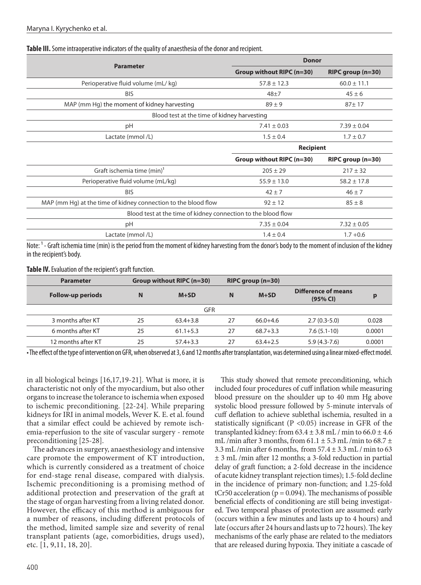#### **Table III.** Some intraoperative indicators of the quality of anaesthesia of the donor and recipient.

|                                                                | <b>Donor</b>                     |                     |  |  |
|----------------------------------------------------------------|----------------------------------|---------------------|--|--|
| <b>Parameter</b>                                               | <b>Group without RIPC (n=30)</b> | $RIPC$ group (n=30) |  |  |
| Perioperative fluid volume (mL/kg)                             | $57.8 \pm 12.3$                  | $60.0 \pm 11.1$     |  |  |
| <b>BIS</b>                                                     | $48 + 7$                         | $45 \pm 6$          |  |  |
| MAP (mm Hg) the moment of kidney harvesting                    | $89 + 9$                         | $87 + 17$           |  |  |
| Blood test at the time of kidney harvesting                    |                                  |                     |  |  |
| pH                                                             | $7.41 \pm 0.03$                  | $7.39 \pm 0.04$     |  |  |
| Lactate (mmol/L)                                               | $1.5 \pm 0.4$                    | $1.7 \pm 0.7$       |  |  |
|                                                                | Recipient                        |                     |  |  |
|                                                                | Group without RIPC (n=30)        | RIPC group (n=30)   |  |  |
| Graft ischemia time (min) <sup>1</sup>                         | $205 \pm 29$                     | $217 \pm 32$        |  |  |
| Perioperative fluid volume (mL/kg)                             | $55.9 \pm 13.0$                  | $58.2 \pm 17.8$     |  |  |
| <b>BIS</b>                                                     | $42 \pm 7$                       | $46 \pm 7$          |  |  |
| MAP (mm Hg) at the time of kidney connection to the blood flow | $92 \pm 12$                      | $85 \pm 8$          |  |  |
| Blood test at the time of kidney connection to the blood flow  |                                  |                     |  |  |
| pH                                                             | $7.35 \pm 0.04$                  | $7.32 \pm 0.05$     |  |  |
| Lactate (mmol/L)                                               | $1.4 \pm 0.4$                    | $1.7 + 0.6$         |  |  |

Note: <sup>1</sup> - Graft ischemia time (min) is the period from the moment of kidney harvesting from the donor's body to the moment of inclusion of the kidney in the recipient's body.

**Table IV.** Evaluation of the recipient's graft function.

| <b>Parameter</b>         |    | Group without RIPC (n=30) |    | $RIPC$ group (n=30) |                                 |        |
|--------------------------|----|---------------------------|----|---------------------|---------------------------------|--------|
| <b>Follow-up periods</b> | N  | $M+SD$                    | N  | $M+SD$              | Difference of means<br>(95% CI) |        |
|                          |    | GFR                       |    |                     |                                 |        |
| 3 months after KT        | 25 | $63.4 + 3.8$              | 27 | $66.0 + 4.6$        | $2.7(0.3-5.0)$                  | 0.028  |
| 6 months after KT        | 25 | $61.1 + 5.3$              | 27 | $68.7 + 3.3$        | $7.6(5.1-10)$                   | 0.0001 |
| 12 months after KT       | 25 | $57.4 + 3.3$              | 27 | $63.4 + 2.5$        | $5.9(4.3-7.6)$                  | 0.0001 |

• The effect of the type of intervention on GFR, when observed at 3, 6 and 12 months after transplantation, was determined using a linear mixed-effect model.

in all biological beings [16,17,19-21]. What is more, it is characteristic not only of the myocardium, but also other organs to increase the tolerance to ischemia when exposed to ischemic preconditioning. [22-24]. While preparing kidneys for IRI in animal models, Wever K. E. et al. found that a similar effect could be achieved by remote ischemia-reperfusion to the site of vascular surgery - remote preconditioning [25-28].

The advances in surgery, anaesthesiology and intensive care promote the empowerment of KT introduction, which is currently considered as a treatment of choice for end-stage renal disease, compared with dialysis. Ischemic preconditioning is a promising method of additional protection and preservation of the graft at the stage of organ harvesting from a living related donor. However, the efficacy of this method is ambiguous for a number of reasons, including different protocols of the method, limited sample size and severity of renal transplant patients (age, comorbidities, drugs used), etc. [1, 9,11, 18, 20].

This study showed that remote preconditioning, which included four procedures of cuff inflation while measuring blood pressure on the shoulder up to 40 mm Hg above systolic blood pressure followed by 5-minute intervals of cuff deflation to achieve sublethal ischemia, resulted in a statistically significant (P <0.05) increase in GFR of the transplanted kidney: from  $63.4 \pm 3.8$  mL / min to  $66.0 \pm 4.6$ mL /min after 3 months, from  $61.1 \pm 5.3$  mL /min to  $68.7 \pm$ 3.3 mL /min after 6 months, from 57.4 ± 3.3 mL / min to 63 ± 3 mL /min after 12 months; a 3-fold reduction in partial delay of graft function; a 2-fold decrease in the incidence of acute kidney transplant rejection times); 1.5-fold decline in the incidence of primary non-function; and 1.25-fold tCr50 acceleration ( $p = 0.094$ ). The mechanisms of possible beneficial effects of conditioning are still being investigated. Two temporal phases of protection are assumed: early (occurs within a few minutes and lasts up to 4 hours) and late (occurs after 24 hours and lasts up to 72 hours). The key mechanisms of the early phase are related to the mediators that are released during hypoxia. They initiate a cascade of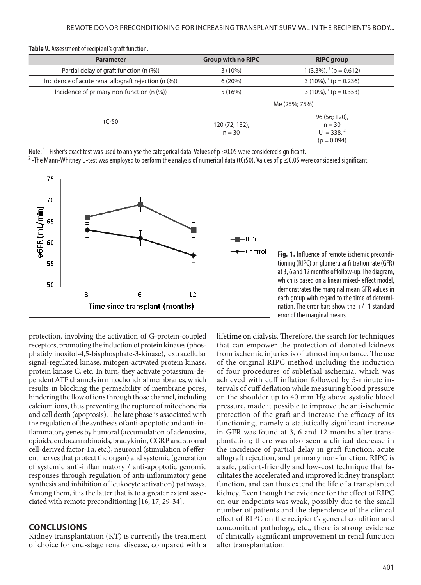| <b>Table v.</b> ASSESSITION OF ICCIPICITYS GRAFIQUEL. |                            |                                                          |  |
|-------------------------------------------------------|----------------------------|----------------------------------------------------------|--|
| <b>Parameter</b>                                      | <b>Group with no RIPC</b>  | <b>RIPC group</b>                                        |  |
| Partial delay of graft function (n (%))               | $3(10\%)$                  | 1 (3.3%), $($ p = 0.612)                                 |  |
| Incidence of acute renal allograft rejection (n (%))  | 6(20%)                     | $3(10\%)$ , $( p = 0.236)$                               |  |
| Incidence of primary non-function $(n \, (\%)$        | 5(16%)                     | $3(10\%)$ , $( p = 0.353)$                               |  |
|                                                       | Me (25%; 75%)              |                                                          |  |
| tCr50                                                 | 120 (72; 132),<br>$n = 30$ | 96 (56; 120),<br>$n = 30$<br>$U = 3382$<br>$(p = 0.094)$ |  |

**Table V.** Accord point of recipient's araft function

| Note: $1$ -Fisher's exact test was used to analyse the categorical data. Values of $p \le 0.05$ were considered significant. |  |  |
|------------------------------------------------------------------------------------------------------------------------------|--|--|
|                                                                                                                              |  |  |

<sup>2</sup>-The Mann-Whitney U-test was employed to perform the analysis of numerical data (tCr50). Values of  $p \le 0.05$  were considered significant.



**Fig. 1.** Influence of remote ischemic preconditioning (RIPC) on glomerular filtration rate (GFR) at 3, 6 and 12 months of follow-up. The diagram, which is based on a linear mixed- effect model, demonstrates the marginal mean GFR values in each group with regard to the time of determination. The error bars show the  $+/-$  1 standard error of the marginal means.

protection, involving the activation of G-protein-coupled receptors, promoting the induction of protein kinases (phosphatidylinositol-4,5-bisphosphate-3-kinase), extracellular signal-regulated kinase, mitogen-activated protein kinase, protein kinase C, etc. In turn, they activate potassium-dependent ATP channels in mitochondrial membranes, which results in blocking the permeability of membrane pores, hindering the flow of ions through those channel, including calcium ions, thus preventing the rupture of mitochondria and cell death (apoptosis). The late phase is associated with the regulation of the synthesis of anti-apoptotic and anti-inflammatory genes by humoral (accumulation of adenosine, opioids, endocannabinoids, bradykinin, CGRP and stromal cell-derived factor-1α, etc.), neuronal (stimulation of efferent nerves that protect the organ) and systemic (generation of systemic anti-inflammatory / anti-apoptotic genomic responses through regulation of anti-inflammatory gene synthesis and inhibition of leukocyte activation) pathways. Among them, it is the latter that is to a greater extent associated with remote preconditioning [16, 17, 29-34].

#### **CONCLUSIONS**

Kidney transplantation (KT) is currently the treatment of choice for end-stage renal disease, compared with a

lifetime on dialysis. Therefore, the search for techniques that can empower the protection of donated kidneys from ischemic injuries is of utmost importance. The use of the original RIPC method including the induction of four procedures of sublethal ischemia, which was achieved with cuff inflation followed by 5-minute intervals of cuff deflation while measuring blood pressure on the shoulder up to 40 mm Hg above systolic blood pressure, made it possible to improve the anti-ischemic protection of the graft and increase the efficacy of its functioning, namely a statistically significant increase in GFR was found at 3, 6 and 12 months after transplantation; there was also seen a clinical decrease in the incidence of partial delay in graft function, acute allograft rejection, and primary non-function. RIPC is a safe, patient-friendly and low-cost technique that facilitates the accelerated and improved kidney transplant function, and can thus extend the life of a transplanted kidney. Even though the evidence for the effect of RIPC on our endpoints was weak, possibly due to the small number of patients and the dependence of the clinical effect of RIPC on the recipient's general condition and concomitant pathology, etc., there is strong evidence of clinically significant improvement in renal function after transplantation.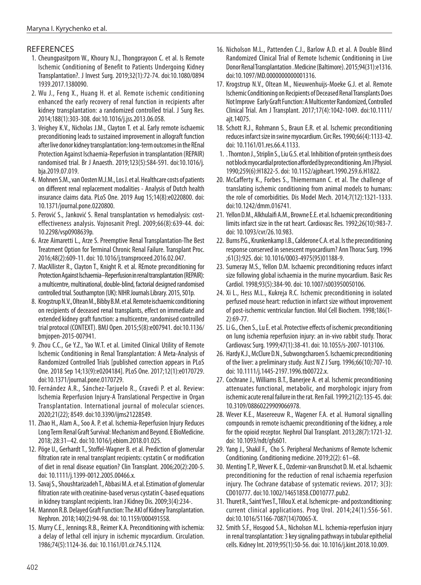## **REFERENCES**

- 1. Cheungpasitporn W., Khoury N.J., Thongprayoon C. et al. Is Remote Ischemic Conditioning of Benefit to Patients Undergoing Kidney Transplantation?. J Invest Surg. 2019;32(1):72-74. doi:10.1080/0894 1939.2017.1380090.
- 2. Wu J., Feng X., Huang H. et al. Remote ischemic conditioning enhanced the early recovery of renal function in recipients after kidney transplantation: a randomized controlled trial. J Surg Res. 2014;188(1):303-308. doi:10.1016/j.jss.2013.06.058.
- 3. Veighey K.V., Nicholas J.M., Clayton T. et al. Early remote ischaemic preconditioning leads to sustained improvement in allograft function after live donor kidney transplantation: long-term outcomes in the REnal Protection Against Ischaemia-Reperfusion in transplantation (REPAIR) randomised trial. Br J Anaesth. 2019;123(5):584-591. doi:10.1016/j. bja.2019.07.019.
- 4. Mohnen S.M., van Oosten M.J.M., Los J. et al. Healthcare costs of patients on different renal replacement modalities - Analysis of Dutch health insurance claims data. PLoS One. 2019 Aug 15;14(8):e0220800. doi: 10.1371/journal.pone.0220800.
- 5. Perović S., Janković S. Renal transplantation vs hemodialysis: costeffectiveness analysis. Vojnosanit Pregl. 2009;66(8):639-44. doi: 10.2298/vsp0908639p.
- 6. Arze Aimaretti L., Arze S. Preemptive Renal Transplantation-The Best Treatment Option for Terminal Chronic Renal Failure. Transplant Proc. 2016;48(2):609-11. doi: 10.1016/j.transproceed.2016.02.047.
- 7. MacAllister R., Clayton T., Knight R. et al. REmote preconditioning for Protection Against Ischaemia–Reperfusion in renal transplantation (REPAIR): a multicentre, multinational, double-blind, factorial designed randomised controlled trial. Southampton (UK): NIHR Journals Library. 2015, 501p.
- 8. Krogstrup N.V., Oltean M., Bibby B.M. et al. Remote ischaemic conditioning on recipients of deceased renal transplants, effect on immediate and extended kidney graft function: a multicentre, randomised controlled trial protocol (CONTEXT). BMJ Open. 2015;5(8):e007941. doi:10.1136/ bmjopen-2015-007941.
- 9. Zhou C.C., Ge Y.Z., Yao W.T. et al. Limited Clinical Utility of Remote Ischemic Conditioning in Renal Transplantation: A Meta-Analysis of Randomized Controlled Trials [published correction appears in PLoS One. 2018 Sep 14;13(9):e0204184]. PLoS One. 2017;12(1):e0170729. doi:10.1371/journal.pone.0170729.
- 10. Fernández A.R., Sánchez-Tarjuelo R., Cravedi P. et al. Review: Ischemia Reperfusion Injury-A Translational Perspective in Organ Transplantation. International journal of molecular sciences. 2020;21(22); 8549. doi:10.3390/ijms21228549.
- 11. Zhao H., Alam A., Soo A. P. et al. Ischemia-Reperfusion Injury Reduces Long Term Renal Graft Survival: Mechanism and Beyond. E BioMedicine. 2018; 28:31–42. doi:10.1016/j.ebiom.2018.01.025.
- 12. Pöge U., Gerhardt T., Stoffel-Wagner B. et al. Prediction of glomerular filtration rate in renal transplant recipients: cystatin C or modification of diet in renal disease equation? Clin Transplant. 2006;20(2):200-5. doi: 10.1111/j.1399-0012.2005.00466.x.
- 13. Savaj S., Shoushtarizadeh T., Abbasi M.A. et al. Estimation of glomerular filtration rate with creatinine-based versus cystatin C-based equations in kidney transplant recipients. Iran J Kidney Dis. 2009;3(4):234-.
- 14. Mannon R.B. Delayed Graft Function: The AKI of Kidney Transplantation. Nephron. 2018;140(2):94-98. doi: 10.1159/000491558.
- 15. Murry C.E., Jennings R.B., Reimer K.A. Preconditioning with ischemia: a delay of lethal cell injury in ischemic myocardium. Circulation. 1986;74(5):1124-36. doi: 10.1161/01.cir.74.5.1124.
- 16. Nicholson M.L., Pattenden C.J., Barlow A.D. et al. A Double Blind Randomized Clinical Trial of Remote Ischemic Conditioning in Live Donor Renal Transplantation . Medicine (Baltimore). 2015;94(31):e1316. doi:10.1097/MD.0000000000001316.
- 17. Krogstrup N.V., Oltean M., Nieuwenhuijs-Moeke G.J. et al. Remote Ischemic Conditioning on Recipients of Deceased Renal Transplants Does Not Improve Early Graft Function: A Multicenter Randomized, Controlled Clinical Trial. Am J Transplant. 2017;17(4):1042-1049. doi:10.1111/ ajt.14075.
- 18. Schott R.J., Rohmann S., Braun E.R. et al. Ischemic preconditioning reduces infarct size in swine myocardium. Circ Res. 1990;66(4):1133-42. doi: 10.1161/01.res.66.4.1133.
- 1. . Thornton J., Striplin S., Liu G.S. et al. Inhibition of protein synthesis does not block myocardial protection afforded by preconditioning. Am J Physiol. 1990;259(6):H1822-5. doi: 10.1152/ajpheart.1990.259.6.H1822.
- 20. McCafferty K., Forbes S., Thiemermann C. et al. The challenge of translating ischemic conditioning from animal models to humans: the role of comorbidities. Dis Model Mech. 2014;7(12):1321-1333. doi:10.1242/dmm.016741.
- 21. Yellon D.M., Alkhulaifi A.M., Browne E.E. et al. Ischaemic preconditioning limits infarct size in the rat heart. Cardiovasc Res. 1992;26(10):983-7. doi: 10.1093/cvr/26.10.983.
- 22. Burns P.G., Krunkenkamp I.B., Calderone C.A. et al. Is the preconditioning response conserved in senescent myocardium? Ann Thorac Surg. 1996 ;61(3):925. doi: 10.1016/0003-4975(95)01188-9.
- 23. Sumeray M.S., Yellon D.M. Ischaemic preconditioning reduces infarct size following global ischaemia in the murine myocardium. Basic Res Cardiol. 1998;93(5):384-90. doi: 10.1007/s003950050106.
- 24. Xi L., Hess M.L., Kukreja R.C. Ischemic preconditioning in isolated perfused mouse heart: reduction in infarct size without improvement of post-ischemic ventricular function. Mol Cell Biochem. 1998;186(1- 2):69-77.
- 25. Li G., Chen S., Lu E. et al. Protective effects of ischemic preconditioning on lung ischemia reperfusion injury: an in-vivo rabbit study. Thorac Cardiovasc Surg. 1999;47(1):38-41. doi: 10.1055/s-2007-1013106.
- 26. Hardy K.J., McClure D.N., Subwongcharoen S. Ischaemic preconditioning of the liver: a preliminary study. Aust N Z J Surg. 1996;66(10):707-10. doi: 10.1111/j.1445-2197.1996.tb00722.x.
- 27. Cochrane J., Williams B.T., Banerjee A. et al. Ischemic preconditioning attenuates functional, metabolic, and morphologic injury from ischemic acute renal failure in the rat. Ren Fail. 1999;21(2):135-45. doi: 10.3109/08860229909066978.
- 28. Wever K.E., Masereeuw R., Wagener F.A. et al. Humoral signalling compounds in remote ischaemic preconditioning of the kidney, a role for the opioid receptor. Nephrol Dial Transplant. 2013;28(7):1721-32. doi: 10.1093/ndt/gfs601.
- 29. Yang J., Shakil F., Cho S. Peripheral Mechanisms of Remote Ischemic Conditioning. Conditioning medicine. 2019;2(2): 61–68.
- 30. Menting T. P., Wever K. E., Ozdemir-van Brunschot D. M. et al. Ischaemic preconditioning for the reduction of renal ischaemia reperfusion injury. The Cochrane database of systematic reviews. 2017; 3(3): CD010777. doi:10.1002/14651858.CD010777.pub2.
- 31. Thuret R., Saint Yves T., Tillou X. et al. Ischemic pre- and postconditioning: current clinical applications. Prog Urol. 2014;24(1):S56-S61. doi:10.1016/S1166-7087(14)70065-X.
- 32. Smith S.F., Hosgood S.A., Nicholson M.L. Ischemia-reperfusion injury in renal transplantation: 3 key signaling pathways in tubular epithelial cells. Kidney Int. 2019;95(1):50-56. doi: 10.1016/j.kint.2018.10.009.